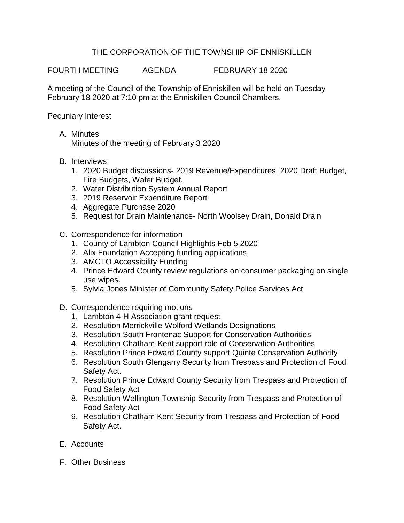## THE CORPORATION OF THE TOWNSHIP OF ENNISKILLEN

FOURTH MEETING AGENDA FEBRUARY 18 2020

A meeting of the Council of the Township of Enniskillen will be held on Tuesday February 18 2020 at 7:10 pm at the Enniskillen Council Chambers.

Pecuniary Interest

- A. Minutes Minutes of the meeting of February 3 2020
- B. Interviews
	- 1. 2020 Budget discussions- 2019 Revenue/Expenditures, 2020 Draft Budget, Fire Budgets, Water Budget,
	- 2. Water Distribution System Annual Report
	- 3. 2019 Reservoir Expenditure Report
	- 4. Aggregate Purchase 2020
	- 5. Request for Drain Maintenance- North Woolsey Drain, Donald Drain
- C. Correspondence for information
	- 1. County of Lambton Council Highlights Feb 5 2020
	- 2. Alix Foundation Accepting funding applications
	- 3. AMCTO Accessibility Funding
	- 4. Prince Edward County review regulations on consumer packaging on single use wipes.
	- 5. Sylvia Jones Minister of Community Safety Police Services Act
- D. Correspondence requiring motions
	- 1. Lambton 4-H Association grant request
	- 2. Resolution Merrickville-Wolford Wetlands Designations
	- 3. Resolution South Frontenac Support for Conservation Authorities
	- 4. Resolution Chatham-Kent support role of Conservation Authorities
	- 5. Resolution Prince Edward County support Quinte Conservation Authority
	- 6. Resolution South Glengarry Security from Trespass and Protection of Food Safety Act.
	- 7. Resolution Prince Edward County Security from Trespass and Protection of Food Safety Act
	- 8. Resolution Wellington Township Security from Trespass and Protection of Food Safety Act
	- 9. Resolution Chatham Kent Security from Trespass and Protection of Food Safety Act.
- E. Accounts
- F. Other Business